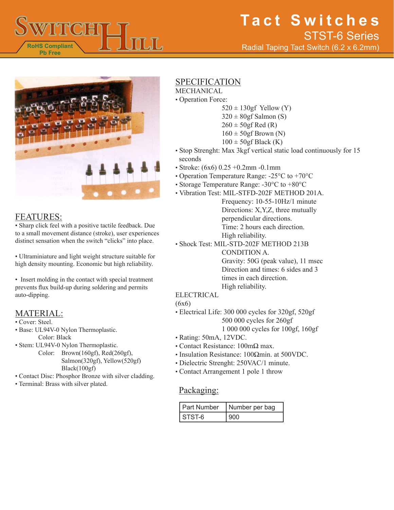



## FEATURES:

• Sharp click feel with a positive tactile feedback. Due to a small movement distance (stroke), user experiences distinct sensation when the switch "clicks" into place.

• Ultraminiature and light weight structure suitable for high density mounting. Economic but high reliability.

• Insert molding in the contact with special treatment prevents flux build-up during soldering and permits auto-dipping.

## MATERIAL:

- Cover: Steel.
- Base: UL94V-0 Nylon Thermoplastic. Color: Black
- Stem: UL94V-0 Nylon Thermoplastic.
	- Color: Brown(160gf), Red(260gf), Salmon(320gf), Yellow(520gf) Black(100gf)
- Contact Disc: Phosphor Bronze with silver cladding.
- Terminal: Brass with silver plated.

## **SPECIFICATION**

- MECHANICAL
- Operation Force:
	- $520 \pm 130$ gf Yellow (Y)
	- $320 \pm 80$ gf Salmon (S)
	- $260 \pm 50$ gf Red (R)
	- $160 \pm 50$ gf Brown (N)
	- $100 \pm 50$ gf Black (K)
- Stop Strenght: Max 3kgf vertical static load continuously for 15 seconds
- Stroke: (6x6) 0.25 +0.2mm -0.1mm
- Operation Temperature Range: -25°C to +70°C
- Storage Temperature Range: -30°C to +80°C
- Vibration Test: MIL-STFD-202F METHOD 201A.
	- Frequency: 10-55-10Hz/1 minute Directions: X,Y,Z, three mutually perpendicular directions. Time: 2 hours each direction. High reliability.
- Shock Test: MIL-STD-202F METHOD 213B

CONDITION A. Gravity: 50G (peak value), 11 msec Direction and times: 6 sides and 3 times in each direction. High reliability.

#### ELECTRICAL

 $(6x6)$ 

- Electrical Life: 300 000 cycles for 320gf, 520gf 500 000 cycles for 260gf
	- 1 000 000 cycles for 100gf, 160gf
- Rating: 50mA, 12VDC.
- Contact Resistance: 100mΩ max.
- Insulation Resistance: 100Ωmin. at 500VDC.
- Dielectric Strenght: 250VAC/1 minute.
- Contact Arrangement 1 pole 1 throw

### Packaging:

| <b>Part Number</b> | Number per bag |  |
|--------------------|----------------|--|
| STST-6             |                |  |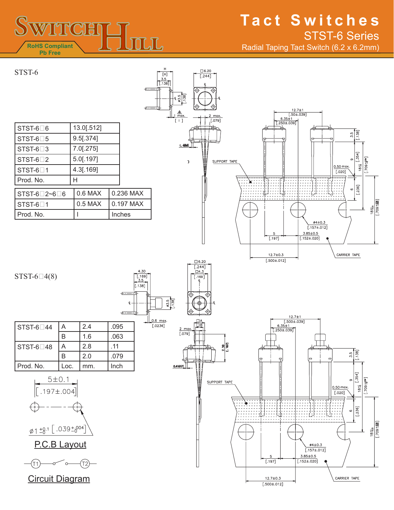# WITCHL HULL  $\mathcal{S}$ **RoHS Compliant**<br>Pb Free

| STST-6                                                                                                                                                                                             | н<br>$[H] \centering% \subfloat[\centering]{{\includegraphics[width=0.28\textwidth]{figs-pole-met-met-2.png} }}% \qquad \subfloat[\centering]{{\includegraphics[width=0.28\textwidth]{figs-pole-met-2.png} }}% \qquad \subfloat[\centering]{{\includegraphics[width=0.28\textwidth]{figs-pole-met-2.png} }}% \caption{The 3D (a) shows the 3D (b) shows the 3D (c) shows the 3D (d) shows the 3D (e) shows the 3D (d) shows the 3D (e) shows the 3D (d) shows the 3D (e) shows the 3D (f) shows the 3D (g) shows the 3D (g) shows the 3D ($<br>3.5<br>$\overline{[}.138]$<br>£-- | $\square$ 6.20<br>$[.244]$<br>⊕<br>$\begin{bmatrix} 6 & 5 \\ 6 & 3 & 1 \\ 1 & 3 & 8 \end{bmatrix}$<br>⊕<br>$\begin{array}{c}\n\mathbb{A} \\ \vdots \\ \hline\n\end{array}$<br>$2$ max. | $\begin{array}{r l}\n & 12.7 \pm 1 \\  & 150 \pm .039 \\  & 6.35 \pm 1 \\  \hline\n & 1.250 \pm .039 \\  & 1.450 \\  & 1.500 \\  & 1.600 \\  & 1.600 \\  & 1.600 \\  & 1.600 \\  & 1.600 \\  & 1.600 \\  & 1.600 \\  & 1.600 \\  & 1.600 \\  & 1.600 \\  & 1.600 \\  & 1.600 \\  & 1.600 \\  & 1.600 \\  & 1.600 \\  & 1.600 \\  & 1.600 \\  & 1.60$ |
|----------------------------------------------------------------------------------------------------------------------------------------------------------------------------------------------------|----------------------------------------------------------------------------------------------------------------------------------------------------------------------------------------------------------------------------------------------------------------------------------------------------------------------------------------------------------------------------------------------------------------------------------------------------------------------------------------------------------------------------------------------------------------------------------|----------------------------------------------------------------------------------------------------------------------------------------------------------------------------------------|------------------------------------------------------------------------------------------------------------------------------------------------------------------------------------------------------------------------------------------------------------------------------------------------------------------------------------------------------|
| 13.0[.512]<br>STST-6 $\square$ 6                                                                                                                                                                   |                                                                                                                                                                                                                                                                                                                                                                                                                                                                                                                                                                                  | $[.079]$                                                                                                                                                                               |                                                                                                                                                                                                                                                                                                                                                      |
| 9.5[.374]<br>STST-6 $\square$ 5                                                                                                                                                                    |                                                                                                                                                                                                                                                                                                                                                                                                                                                                                                                                                                                  |                                                                                                                                                                                        | $\begin{bmatrix} .138 \end{bmatrix}$<br>3.5                                                                                                                                                                                                                                                                                                          |
| 7.0[.275]<br>STST-6 $\square$ 3                                                                                                                                                                    |                                                                                                                                                                                                                                                                                                                                                                                                                                                                                                                                                                                  | C.4094                                                                                                                                                                                 |                                                                                                                                                                                                                                                                                                                                                      |
| 5.0[.197]<br>STST-6 $\square$ 2                                                                                                                                                                    |                                                                                                                                                                                                                                                                                                                                                                                                                                                                                                                                                                                  | SUPPORT TAPE<br>$\mathbf{I}$                                                                                                                                                           | $18 + 1.354$ ]<br>$\sigma$                                                                                                                                                                                                                                                                                                                           |
| 4.3[.169]<br>STST-6□1                                                                                                                                                                              |                                                                                                                                                                                                                                                                                                                                                                                                                                                                                                                                                                                  |                                                                                                                                                                                        | $[.804 \pm 0.07.3]$<br>$0.50$ max.<br>$[.020]$                                                                                                                                                                                                                                                                                                       |
| Prod. No.<br>H                                                                                                                                                                                     |                                                                                                                                                                                                                                                                                                                                                                                                                                                                                                                                                                                  |                                                                                                                                                                                        |                                                                                                                                                                                                                                                                                                                                                      |
| $0.6$ MAX<br>STST-6□2~6□6                                                                                                                                                                          | 0.236 MAX                                                                                                                                                                                                                                                                                                                                                                                                                                                                                                                                                                        |                                                                                                                                                                                        | [.236]<br>$\pmb{\circ}$                                                                                                                                                                                                                                                                                                                              |
| $0.5$ MAX<br>STST-6□1                                                                                                                                                                              | 0.197 MAX                                                                                                                                                                                                                                                                                                                                                                                                                                                                                                                                                                        |                                                                                                                                                                                        | $\frac{18 \pm 1.5}{200 \pm 0.000}$                                                                                                                                                                                                                                                                                                                   |
| Prod. No.                                                                                                                                                                                          | Inches                                                                                                                                                                                                                                                                                                                                                                                                                                                                                                                                                                           |                                                                                                                                                                                        |                                                                                                                                                                                                                                                                                                                                                      |
| STST-6 $\Box$ 4(8)                                                                                                                                                                                 | $\frac{4.30}{[.169]}$<br>$\frac{3.5}{ }$                                                                                                                                                                                                                                                                                                                                                                                                                                                                                                                                         | $\square$ 6.20<br>$[.244]$<br>$\square$ 4.3<br>[.169]                                                                                                                                  | $\phi$ 4±0.3<br>$(.157 \pm .012]$<br>$3.85 \pm 0.5$<br>5<br>$[.197]$<br>$[.152 \pm .020]$<br>$12.7 \pm 0.3$<br>CARRIER TAPE<br>$[.500 \pm .012]$                                                                                                                                                                                                     |
|                                                                                                                                                                                                    | [.138]<br><del>1 - - - -</del><br>$\frac{63.5}{1.138}$<br>¢<br>ᡔ<br>$0.6$ max.                                                                                                                                                                                                                                                                                                                                                                                                                                                                                                   | ⊕<br>⊕<br>$\Box$ A                                                                                                                                                                     | $12.7 \pm 1$                                                                                                                                                                                                                                                                                                                                         |
| 2.4<br>$\mathsf A$<br>STST-6 $\Box$ 44                                                                                                                                                             | [.0236]<br>.095                                                                                                                                                                                                                                                                                                                                                                                                                                                                                                                                                                  | ŢΕ<br>$2$ max.<br>$[.079]$                                                                                                                                                             | $\frac{500 \pm .039}{6.35 \pm 1}$<br>$[.250 \pm .039]$                                                                                                                                                                                                                                                                                               |
| $\sf B$<br>1.6                                                                                                                                                                                     | .063                                                                                                                                                                                                                                                                                                                                                                                                                                                                                                                                                                             |                                                                                                                                                                                        |                                                                                                                                                                                                                                                                                                                                                      |
| $\boldsymbol{\mathsf{A}}$<br>2.8<br>STST-6 $\square$ 48<br>$\sf B$<br>2.0                                                                                                                          | .11                                                                                                                                                                                                                                                                                                                                                                                                                                                                                                                                                                              | $\frac{7.30}{1.387}$                                                                                                                                                                   | $\frac{5}{138}$                                                                                                                                                                                                                                                                                                                                      |
| Prod. No.                                                                                                                                                                                          | .079                                                                                                                                                                                                                                                                                                                                                                                                                                                                                                                                                                             |                                                                                                                                                                                        | $\qquad \qquad \Box$<br>밒<br>$\qquad \qquad \Box$<br>ĻΡ<br>Ľ,                                                                                                                                                                                                                                                                                        |
| Loc.<br>mm.<br>$rac{5 \pm 0.1}{1}$<br>$.197 \pm .004$<br>$\underline{\phi}$ 1 $\underline{+}$ 0.1 $\left[ .039_{-0}^{+0.004} \right]$<br>P.C.B Layout<br>(T2)<br>$\circ$<br><b>Circuit Diagram</b> | Inch                                                                                                                                                                                                                                                                                                                                                                                                                                                                                                                                                                             | $0.4$ MAX<br>SUPPORT TAPE                                                                                                                                                              | 1.354<br>$[.86^{2} \pm 0.02^{1}]$<br>$\infty$<br>$18_{+0}^{+1}$<br>$0.50$ max.<br>$[.020]$<br>[.236]<br>$\circ$<br>$\frac{18 \pm 1.5}{[.709 \pm .038]}$<br>$\phi$ 4±0.3<br>$[.157 \pm .012]$<br>$3.85 \pm 0.5$<br>5<br>$[.197]$<br>$[.152 \pm .020]$                                                                                                 |